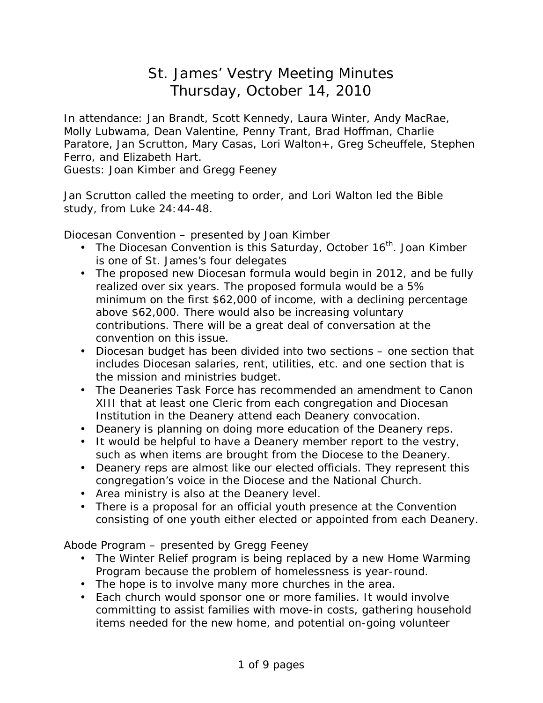# St. James' Vestry Meeting Minutes Thursday, October 14, 2010

In attendance: Jan Brandt, Scott Kennedy, Laura Winter, Andy MacRae, Molly Lubwama, Dean Valentine, Penny Trant, Brad Hoffman, Charlie Paratore, Jan Scrutton, Mary Casas, Lori Walton+, Greg Scheuffele, Stephen Ferro, and Elizabeth Hart.

Guests: Joan Kimber and Gregg Feeney

Jan Scrutton called the meeting to order, and Lori Walton led the Bible study, from Luke 24:44-48.

Diocesan Convention – presented by Joan Kimber

- The Diocesan Convention is this Saturday, October  $16<sup>th</sup>$ . Joan Kimber is one of St. James's four delegates
- The proposed new Diocesan formula would begin in 2012, and be fully realized over six years. The proposed formula would be a 5% minimum on the first \$62,000 of income, with a declining percentage above \$62,000. There would also be increasing voluntary contributions. There will be a great deal of conversation at the convention on this issue.
- Diocesan budget has been divided into two sections one section that includes Diocesan salaries, rent, utilities, etc. and one section that is the mission and ministries budget.
- The Deaneries Task Force has recommended an amendment to Canon XIII that at least one Cleric from each congregation and Diocesan Institution in the Deanery attend each Deanery convocation.
- Deanery is planning on doing more education of the Deanery reps.
- It would be helpful to have a Deanery member report to the vestry, such as when items are brought from the Diocese to the Deanery.
- Deanery reps are almost like our elected officials. They represent this congregation's voice in the Diocese and the National Church.
- Area ministry is also at the Deanery level.
- There is a proposal for an official youth presence at the Convention consisting of one youth either elected or appointed from each Deanery.

Abode Program – presented by Gregg Feeney

- The Winter Relief program is being replaced by a new Home Warming Program because the problem of homelessness is year-round.
- The hope is to involve many more churches in the area.
- Each church would sponsor one or more families. It would involve committing to assist families with move-in costs, gathering household items needed for the new home, and potential on-going volunteer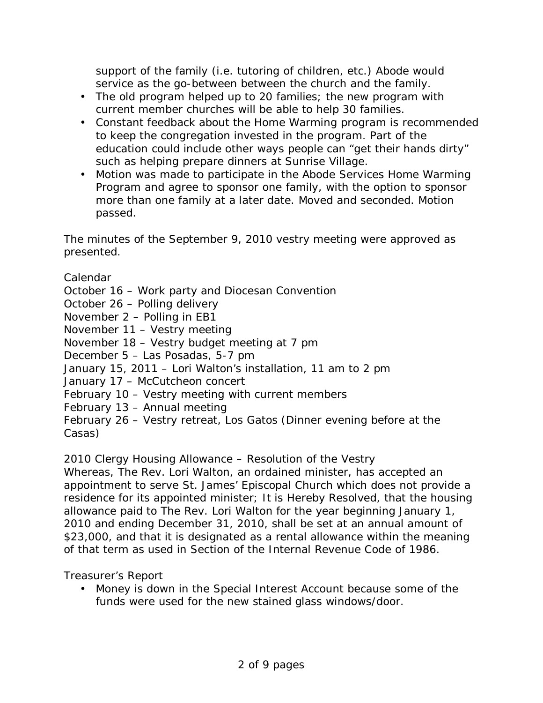support of the family (i.e. tutoring of children, etc.) Abode would service as the go-between between the church and the family.

- The old program helped up to 20 families; the new program with current member churches will be able to help 30 families.
- Constant feedback about the Home Warming program is recommended to keep the congregation invested in the program. Part of the education could include other ways people can "get their hands dirty" such as helping prepare dinners at Sunrise Village.
- Motion was made to participate in the Abode Services Home Warming Program and agree to sponsor one family, with the option to sponsor more than one family at a later date. Moved and seconded. Motion passed.

The minutes of the September 9, 2010 vestry meeting were approved as presented.

Calendar

October 16 – Work party and Diocesan Convention

October 26 – Polling delivery

November 2 – Polling in EB1

November 11 – Vestry meeting

November 18 – Vestry budget meeting at 7 pm

December 5 – Las Posadas, 5-7 pm

January 15, 2011 – Lori Walton's installation, 11 am to 2 pm

January 17 – McCutcheon concert

February 10 – Vestry meeting with current members

February 13 – Annual meeting

February 26 – Vestry retreat, Los Gatos (Dinner evening before at the Casas)

2010 Clergy Housing Allowance – Resolution of the Vestry

Whereas, The Rev. Lori Walton, an ordained minister, has accepted an appointment to serve St. James' Episcopal Church which does not provide a residence for its appointed minister; It is Hereby Resolved, that the housing allowance paid to The Rev. Lori Walton for the year beginning January 1, 2010 and ending December 31, 2010, shall be set at an annual amount of \$23,000, and that it is designated as a rental allowance within the meaning of that term as used in Section of the Internal Revenue Code of 1986.

Treasurer's Report

• Money is down in the Special Interest Account because some of the funds were used for the new stained glass windows/door.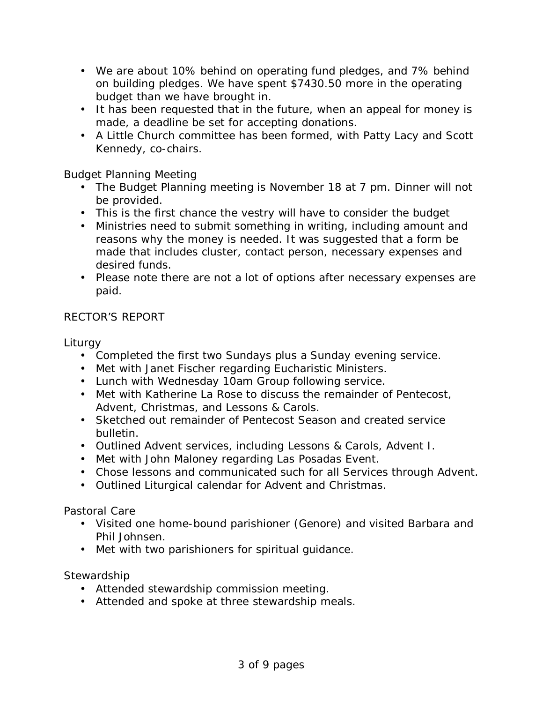- We are about 10% behind on operating fund pledges, and 7% behind on building pledges. We have spent \$7430.50 more in the operating budget than we have brought in.
- It has been requested that in the future, when an appeal for money is made, a deadline be set for accepting donations.
- A Little Church committee has been formed, with Patty Lacy and Scott Kennedy, co-chairs.

### Budget Planning Meeting

- The Budget Planning meeting is November 18 at 7 pm. Dinner will not be provided.
- This is the first chance the vestry will have to consider the budget
- Ministries need to submit something in writing, including amount and reasons why the money is needed. It was suggested that a form be made that includes cluster, contact person, necessary expenses and desired funds.
- Please note there are not a lot of options after necessary expenses are paid.

# RECTOR'S REPORT

**Liturgy** 

- Completed the first two Sundays plus a Sunday evening service.
- Met with Janet Fischer regarding Eucharistic Ministers.
- Lunch with Wednesday 10am Group following service.
- Met with Katherine La Rose to discuss the remainder of Pentecost, Advent, Christmas, and Lessons & Carols.
- Sketched out remainder of Pentecost Season and created service bulletin.
- Outlined Advent services, including Lessons & Carols, Advent I.
- Met with John Maloney regarding Las Posadas Event.
- Chose lessons and communicated such for all Services through Advent.
- Outlined Liturgical calendar for Advent and Christmas.

### Pastoral Care

- Visited one home-bound parishioner (Genore) and visited Barbara and Phil Johnsen.
- Met with two parishioners for spiritual guidance.

### **Stewardship**

- Attended stewardship commission meeting.
- Attended and spoke at three stewardship meals.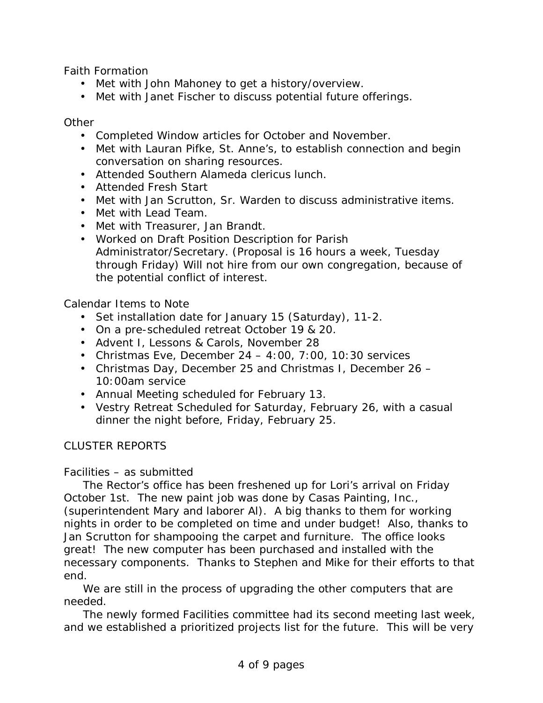Faith Formation

- Met with John Mahoney to get a history/overview.
- Met with Janet Fischer to discuss potential future offerings.

#### **Other**

- Completed Window articles for October and November.
- Met with Lauran Pifke, St. Anne's, to establish connection and begin conversation on sharing resources.
- Attended Southern Alameda clericus lunch.
- Attended Fresh Start
- Met with Jan Scrutton, Sr. Warden to discuss administrative items.
- Met with Lead Team.
- Met with Treasurer, Jan Brandt.
- Worked on Draft Position Description for Parish Administrator/Secretary. (Proposal is 16 hours a week, Tuesday through Friday) Will not hire from our own congregation, because of the potential conflict of interest.

# Calendar Items to Note

- Set installation date for January 15 (Saturday), 11-2.
- On a pre-scheduled retreat October 19 & 20.
- Advent I, Lessons & Carols, November 28
- Christmas Eve, December  $24 4:00$ ,  $7:00$ ,  $10:30$  services
- Christmas Day, December 25 and Christmas I, December 26 10:00am service
- Annual Meeting scheduled for February 13.
- Vestry Retreat Scheduled for Saturday, February 26, with a casual dinner the night before, Friday, February 25.

# CLUSTER REPORTS

### Facilities – as submitted

The Rector's office has been freshened up for Lori's arrival on Friday October 1st. The new paint job was done by Casas Painting, Inc., (superintendent Mary and laborer Al). A big thanks to them for working nights in order to be completed on time and under budget! Also, thanks to Jan Scrutton for shampooing the carpet and furniture. The office looks great! The new computer has been purchased and installed with the necessary components. Thanks to Stephen and Mike for their efforts to that end.

We are still in the process of upgrading the other computers that are needed.

The newly formed Facilities committee had its second meeting last week, and we established a prioritized projects list for the future. This will be very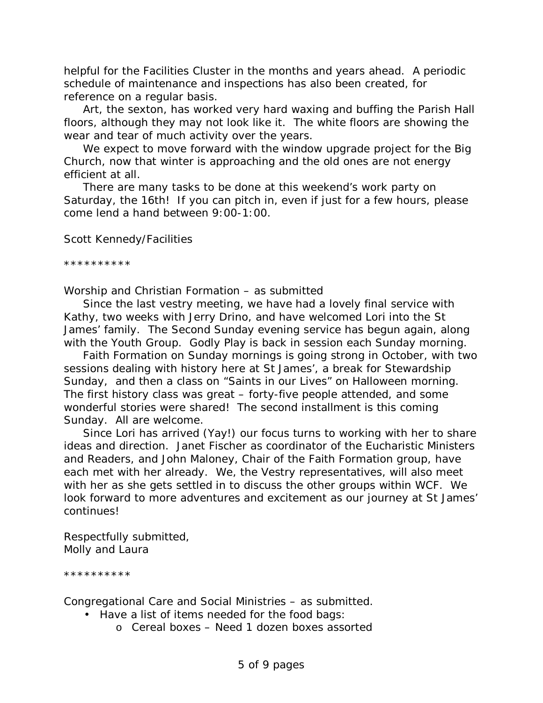helpful for the Facilities Cluster in the months and years ahead. A periodic schedule of maintenance and inspections has also been created, for reference on a regular basis.

Art, the sexton, has worked very hard waxing and buffing the Parish Hall floors, although they may not look like it. The white floors are showing the wear and tear of much activity over the years.

We expect to move forward with the window upgrade project for the Big Church, now that winter is approaching and the old ones are not energy efficient at all.

There are many tasks to be done at this weekend's work party on Saturday, the 16th! If you can pitch in, even if just for a few hours, please come lend a hand between 9:00-1:00.

Scott Kennedy/Facilities

\*\*\*\*\*\*\*\*\*\*

Worship and Christian Formation – as submitted

Since the last vestry meeting, we have had a lovely final service with Kathy, two weeks with Jerry Drino, and have welcomed Lori into the St James' family. The Second Sunday evening service has begun again, along with the Youth Group. Godly Play is back in session each Sunday morning.

Faith Formation on Sunday mornings is going strong in October, with two sessions dealing with history here at St James', a break for Stewardship Sunday, and then a class on "Saints in our Lives" on Halloween morning. The first history class was great – forty-five people attended, and some wonderful stories were shared! The second installment is this coming Sunday. All are welcome.

Since Lori has arrived (Yay!) our focus turns to working with her to share ideas and direction. Janet Fischer as coordinator of the Eucharistic Ministers and Readers, and John Maloney, Chair of the Faith Formation group, have each met with her already. We, the Vestry representatives, will also meet with her as she gets settled in to discuss the other groups within WCF. We look forward to more adventures and excitement as our journey at St James' continues!

Respectfully submitted, Molly and Laura

\*\*\*\*\*\*\*\*\*\*

Congregational Care and Social Ministries – as submitted.

- Have a list of items needed for the food bags:
	- o Cereal boxes Need 1 dozen boxes assorted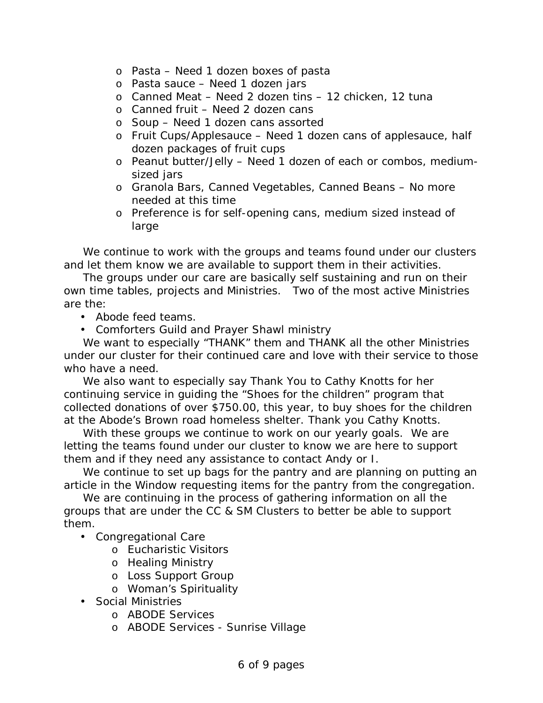- o Pasta Need 1 dozen boxes of pasta
- o Pasta sauce Need 1 dozen jars
- o Canned Meat Need 2 dozen tins 12 chicken, 12 tuna
- $\circ$  Canned fruit Need 2 dozen cans
- o Soup Need 1 dozen cans assorted
- $\circ$  Fruit Cups/Applesauce Need 1 dozen cans of applesauce, half dozen packages of fruit cups
- o Peanut butter/Jelly Need 1 dozen of each or combos, mediumsized jars
- o Granola Bars, Canned Vegetables, Canned Beans No more needed at this time
- o Preference is for self-opening cans, medium sized instead of large

We continue to work with the groups and teams found under our clusters and let them know we are available to support them in their activities.

The groups under our care are basically self sustaining and run on their own time tables, projects and Ministries. Two of the most active Ministries are the:

- Abode feed teams.
- Comforters Guild and Prayer Shawl ministry

We want to especially "THANK" them and THANK all the other Ministries under our cluster for their continued care and love with their service to those who have a need.

We also want to especially say Thank You to Cathy Knotts for her continuing service in guiding the "Shoes for the children" program that collected donations of over \$750.00, this year, to buy shoes for the children at the Abode's Brown road homeless shelter. Thank you Cathy Knotts.

With these groups we continue to work on our yearly goals. We are letting the teams found under our cluster to know we are here to support them and if they need any assistance to contact Andy or I.

We continue to set up bags for the pantry and are planning on putting an article in the Window requesting items for the pantry from the congregation.

We are continuing in the process of gathering information on all the groups that are under the CC & SM Clusters to better be able to support them.

- Congregational Care
	- o Eucharistic Visitors
	- o Healing Ministry
	- o Loss Support Group
	- o Woman's Spirituality
- Social Ministries
	- o ABODE Services
	- o ABODE Services Sunrise Village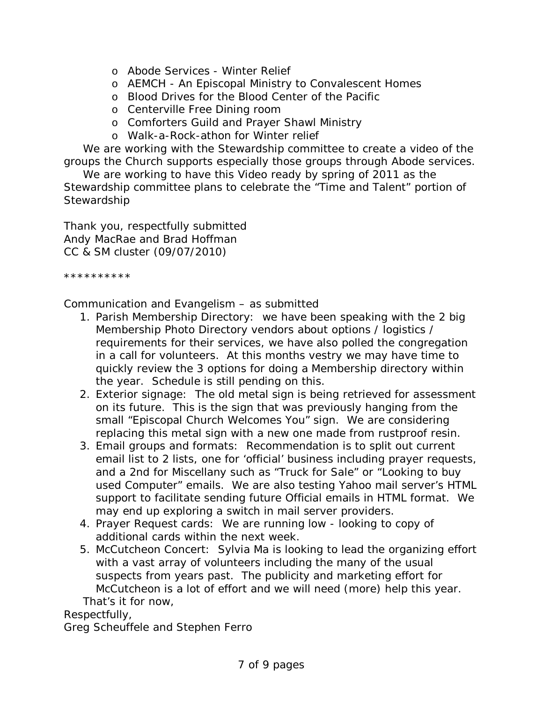- o Abode Services Winter Relief
- o AEMCH An Episcopal Ministry to Convalescent Homes
- o Blood Drives for the Blood Center of the Pacific
- o Centerville Free Dining room
- o Comforters Guild and Prayer Shawl Ministry
- o Walk-a-Rock-athon for Winter relief

We are working with the Stewardship committee to create a video of the groups the Church supports especially those groups through Abode services.

We are working to have this Video ready by spring of 2011 as the Stewardship committee plans to celebrate the "Time and Talent" portion of **Stewardship** 

Thank you, respectfully submitted Andy MacRae and Brad Hoffman CC & SM cluster (09/07/2010)

\*\*\*\*\*\*\*\*\*\*

Communication and Evangelism – as submitted

- 1. Parish Membership Directory: we have been speaking with the 2 big Membership Photo Directory vendors about options / logistics / requirements for their services, we have also polled the congregation in a call for volunteers. At this months vestry we may have time to quickly review the 3 options for doing a Membership directory within the year. Schedule is still pending on this.
- 2. Exterior signage: The old metal sign is being retrieved for assessment on its future. This is the sign that was previously hanging from the small "Episcopal Church Welcomes You" sign. We are considering replacing this metal sign with a new one made from rustproof resin.
- 3. Email groups and formats: Recommendation is to split out current email list to 2 lists, one for 'official' business including prayer requests, and a 2nd for Miscellany such as "Truck for Sale" or "Looking to buy used Computer" emails. We are also testing Yahoo mail server's HTML support to facilitate sending future Official emails in HTML format. We may end up exploring a switch in mail server providers.
- 4. Prayer Request cards: We are running low looking to copy of additional cards within the next week.
- 5. McCutcheon Concert: Sylvia Ma is looking to lead the organizing effort with a vast array of volunteers including the many of the usual suspects from years past. The publicity and marketing effort for McCutcheon is a lot of effort and we will need (more) help this year. That's it for now,

Respectfully,

Greg Scheuffele and Stephen Ferro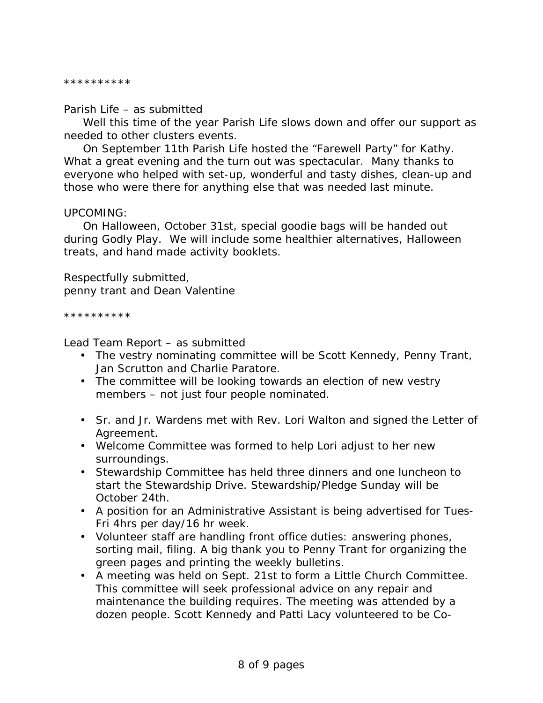#### \*\*\*\*\*\*\*\*\*\*

#### Parish Life – as submitted

Well this time of the year Parish Life slows down and offer our support as needed to other clusters events.

On September 11th Parish Life hosted the "Farewell Party" for Kathy. What a great evening and the turn out was spectacular. Many thanks to everyone who helped with set-up, wonderful and tasty dishes, clean-up and those who were there for anything else that was needed last minute.

#### UPCOMING:

On Halloween, October 31st, special goodie bags will be handed out during Godly Play. We will include some healthier alternatives, Halloween treats, and hand made activity booklets.

Respectfully submitted, penny trant and Dean Valentine

\*\*\*\*\*\*\*\*\*\*

Lead Team Report – as submitted

- The vestry nominating committee will be Scott Kennedy, Penny Trant, Jan Scrutton and Charlie Paratore.
- The committee will be looking towards an election of new vestry members – not just four people nominated.
- Sr. and Jr. Wardens met with Rev. Lori Walton and signed the Letter of Agreement.
- Welcome Committee was formed to help Lori adjust to her new surroundings.
- Stewardship Committee has held three dinners and one luncheon to start the Stewardship Drive. Stewardship/Pledge Sunday will be October 24th.
- A position for an Administrative Assistant is being advertised for Tues-Fri 4hrs per day/16 hr week.
- Volunteer staff are handling front office duties: answering phones, sorting mail, filing. A big thank you to Penny Trant for organizing the green pages and printing the weekly bulletins.
- A meeting was held on Sept. 21st to form a Little Church Committee. This committee will seek professional advice on any repair and maintenance the building requires. The meeting was attended by a dozen people. Scott Kennedy and Patti Lacy volunteered to be Co-